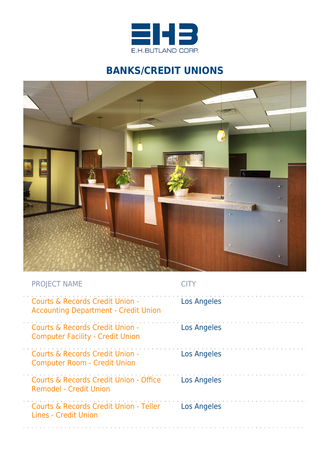

## **BANKS/CREDIT UNIONS**



| <b>PROJECT NAME</b>                                                            |                    |
|--------------------------------------------------------------------------------|--------------------|
| Courts & Records Credit Union -<br><b>Accounting Department - Credit Union</b> | <b>Los Angeles</b> |
| Courts & Records Credit Union -<br><b>Computer Facility - Credit Union</b>     | <b>Los Angeles</b> |
| Courts & Records Credit Union -<br><b>Computer Room - Credit Union</b>         | Los Angeles        |
| Courts & Records Credit Union - Office<br><b>Remodel - Credit Union</b>        | <b>Los Angeles</b> |
| Courts & Records Credit Union - Teller<br>Lines - Credit Union                 | Los Angeles        |
|                                                                                |                    |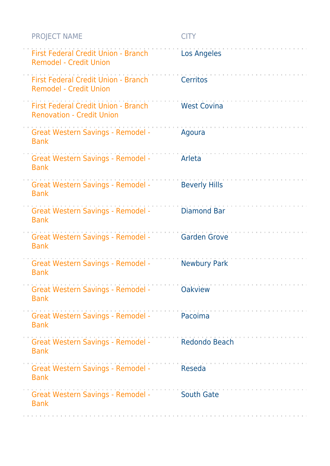| <b>PROJECT NAME</b>                                                         | <b>CITY</b>          |
|-----------------------------------------------------------------------------|----------------------|
| First Federal Credit Union - Branch<br><b>Remodel - Credit Union</b>        | Los Angeles          |
| <b>First Federal Credit Union - Branch</b><br><b>Remodel - Credit Union</b> | <b>Cerritos</b>      |
| First Federal Credit Union - Branch<br><b>Renovation - Credit Union</b>     | <b>West Covina</b>   |
| <b>Great Western Savings - Remodel -</b><br><b>Bank</b>                     | Agoura               |
| <b>Great Western Savings - Remodel -</b><br><b>Bank</b>                     | Arleta               |
| <b>Great Western Savings - Remodel -</b><br><b>Bank</b>                     | <b>Beverly Hills</b> |
| <b>Great Western Savings - Remodel -</b><br><b>Bank</b>                     | <b>Diamond Bar</b>   |
| <b>Great Western Savings - Remodel -</b><br><b>Bank</b>                     | <b>Garden Grove</b>  |
| <b>Great Western Savings - Remodel -</b><br><b>Bank</b>                     | <b>Newbury Park</b>  |
| <b>Great Western Savings - Remodel -</b><br><b>Bank</b>                     | <b>Oakview</b>       |
| Great Western Savings - Remodel -<br><b>Bank</b>                            | Pacoima              |
| <b>Great Western Savings - Remodel -</b><br><b>Bank</b>                     | Redondo Beach        |
| <b>Great Western Savings - Remodel -</b><br><b>Bank</b>                     | Reseda               |
| <b>Great Western Savings - Remodel -</b><br><b>Bank</b>                     | <b>South Gate</b>    |
|                                                                             |                      |